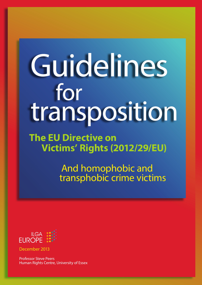## Guidelines for transposition

**The EU Directive on Victims' Rights (2012/29/EU)**

> And homophobic and transphobic crime victims



December 2013

Professor Steve Peers Human Rights Centre, University of Essex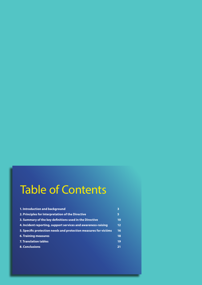## Table of Contents

| 1. Introduction and background                                   | 3  |
|------------------------------------------------------------------|----|
| 2. Principles for Interpretation of the Directive                | 5  |
| 3. Summary of the key definitions used in the Directive          | 10 |
| 4. Incident reporting, support services and awareness-raising    | 12 |
| 5. Specific protection needs and protection measures for victims | 16 |
| <b>6. Training measures</b>                                      | 18 |
| <b>7. Translation tables</b>                                     | 19 |
| 8. Conclusions                                                   | 21 |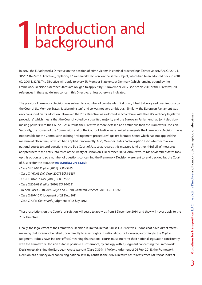### Introduction and background 1

In 2012, the EU adopted a Directive on the position of crime victims in criminal proceedings (Directive 2012/29, OJ 2012 L 315/57; the '2012 Directive'), replacing a 'Framework Decision' on the same subject, which had been adopted back in 2001 (OJ 2001 L 82/1). The Directive will apply to every EU Member State except Denmark (which remains bound by the Framework Decision); Member States are obliged to apply it by 16 November 2015 (see Article 27(1) of the Directive). All references in these guidelines concern this Directive, unless otherwise indicated.

The previous Framework Decision was subject to a number of constraints. First of all, it had to be agreed unanimously by the Council (ie, Member States' justice ministers) and so was not very ambitious. Similarly, the European Parliament was only consulted on its adoption. However, the 2012 Directive was adopted in accordance with the EU's 'ordinary legislative procedure', which means that the Council voted by a qualified majority and the European Parliament had joint decisionmaking powers with the Council. As a result, the Directive is more detailed and ambitious than the Framework Decision. Secondly, the powers of the Commission and of the Court of Justice were limited as regards the Framework Decision. It was not possible for the Commission to bring 'infringement procedures' against Member States which had not applied the measure at all on time, or which had applied it incorrectly. Also, Member States had an option as to whether to allow national courts to send questions to the EU's Court of Justice as regards this measure (and other 'third pillar' measures adopted before the entry into force of the Treaty of Lisbon on 1 December 2009). About two-thirds of Member States took up this option, and so a number of questions concerning the Framework Decision were sent to, and decided by, the Court of Justice (for the text, see **www.curia.europa.eu**):

- Case C-105/03 *Pupino* [2005] ECR I-5285
- Case C-467/05 *Dell'Orto* [2007] ECR I-5557
- Case C-404/07 *Katz* [2008] ECR I-7607
- Case C-205/09 *Eredics* [2010] ECR I-10231
- Joined Cases C-483/09 *Gueye* and C-1/10 *Salmeron Sanchez* [2011] ECR I-8263
- Case C-507/10 *X*, judgment of 21 Dec. 2011
- Case C-79/11 *Giovanardi*, judgment of 12 July 2012

These restrictions on the Court's jurisdiction will cease to apply, as from 1 December 2014, and they will never apply to the 2012 Directive.

Finally, the legal effect of the Framework Decision is limited, in that (unlike EU Directives), it does not have 'direct effect', meaning that it cannot be relied upon directly to assert rights in national courts. However, according to the *Pupino*  judgment, it does have 'indirect effect', meaning that national courts must interpret their national legislation consistently with the Framework Decision as far as possible. Furthermore, by analogy with a judgment concerning the Framework Decision establishing the European Arrest Warrant (Case C-399/11 *Melloni*, judgment of 26 Feb. 2013), the Framework Decision has primacy over conflicting national law. By contrast, the 2012 Directive has 'direct effect' (*as well* as indirect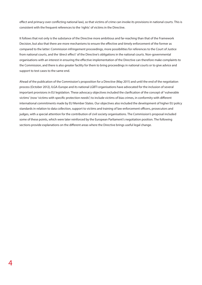effect and primacy over conflicting national law), so that victims of crime can invoke its provisions in national courts. This is consistent with the frequent references to the 'rights' of victims in the Directive.

It follows that not only is the substance of the Directive more ambitious and far-reaching than that of the Framework Decision, but also that there are more mechanisms to ensure the effective and timely enforcement of the former as compared to the latter: Commission infringement proceedings, more possibilities for references to the Court of Justice from national courts, and the 'direct effect' of the Directive's obligations in the national courts. Non-governmental organisations with an interest in ensuring the effective implementation of the Directive can therefore make complaints to the Commission, and there is also greater facility for them to bring proceedings in national courts or to give advice and support to test cases to the same end.

Ahead of the publication of the Commission's proposition for a Directive (May 2011) and until the end of the negotiation process (October 2012), ILGA-Europe and its national LGBTI organisations have advocated for the inclusion of several important provisions in EU legislation. These advocacy objectives included the clarification of the concept of 'vulnerable victims' (now 'victims with specific protection needs') to include victims of bias crimes, in conformity with different international commitments made by EU Member States. Our objectives also included the development of higher EU policy standards in relation to data collection, support to victims and training of law enforcement officers, prosecutors and judges, with a special attention for the contribution of civil society organisations. The Commission's proposal included some of these points, which were later reinforced by the European Parliament's negotiation position. The following sections provide explanations on the different areas where the Directive brings useful legal change.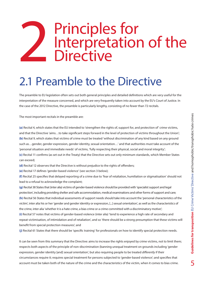## **2** Principles for<br>Directive Interpretation of the **Directive**

#### 2.1 Preamble to the Directive

The preamble to EU legislation often sets out both general principles and detailed definitions which are very useful for the interpretation of the measure concerned, and which are very frequently taken into account by the EU's Court of Justice. In the case of the 2012 Directive, the preamble is particularly lengthy, consisting of no fewer than 72 recitals.

The most important recitals in the preamble are:

**(a)** Recital 4, which states that the EU intended to 'strengthen the rights of, support for, and protection of' crime victims, and that the Directive 'aims…to take significant steps forward in the level of protection of victims throughout the Union'; **(b)** Recital 9, which states that victims of crime must be treated 'without discrimination of any kind based on any ground such as…gender, gender expression, gender identity, sexual orientation…' and that authorities must take account of the 'personal situation and immediate needs' of victims, 'fully respecting their physical, social and moral integrity'; **(c)** Recital 11 confirms (as set out in the Treaty) that the Directive sets out only minimum standards, which Member States can exceed;

**(d)** Recital 12 observes that the Directive is without prejudice to the rights of offenders;

**(e)** Recital 17 defines 'gender-based violence' (see section 3 below);

**(f)** Recital 25 specifies that delayed reporting of a crime due to 'fear of retaliation, humiliation or stigmatisation' should not lead to a refusal to acknowledge the complaint;

**(g)** Recital 38 States that (inter alia) victims of gender-based violence should be provided with 'specialist support and legal protection', including providing shelter and safe accommodation, medical examinations and other forms of support and care; **(h)** Recital 56 States that individual assessments of support needs should take into account the 'personal characteristics of the victim', inter alia his or her 'gender and gender identity or expression, [...] sexual orientation', as well as the characteristics of the crime, inter alia 'whether it is a hate crime, a bias crime or a crime committed with a discriminatory motive';

**(i)** Recital 57 notes that victims of gender-based violence (inter alia) 'tend to experience a high rate of secondary and repeat victimisation, of intimidation and of retaliation', and so 'there should be a strong presumption that these victims will benefit from special protection measures'; and

**(j)** Recital 61 States that there should be 'specific training' for professionals on how to identify special protection needs.

It can be seen from this summary that the Directive: aims to increase the rights enjoyed by crime victims, not to limit them; respects both aspects of the principle of non-discrimination (banning unequal treatment on grounds including 'gender expression, gender identity [and] sexual orientation', but also requiring people to be treated *differently* if their circumstances require it; requires special treatment for persons subjected to 'gender-based violence'; and specifies that account must be taken both of the nature of the crime and the characteristics of the victim, when it comes to bias crime.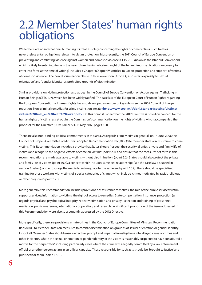#### 2.2 Member States' human rights obligations

While there are no international human rights treaties solely concerning the rights of crime victims, such treaties nevertheless entail obligations relevant to victim protection. Most recently, the 2011 Council of Europe Convention on preventing and combating violence against women and domestic violence (CETS 210, known as the Istanbul Convention), which is likely to enter into force in the near future (having obtained eight of the ten minimum ratifications necessary to enter into force at the time of writing) includes a Chapter (Chapter IV, Articles 18-28) on 'protection and support' of victims of domestic violence. The non-discrimination clause in this Convention (Article 4) also refers expressly to 'sexual orientation' and 'gender identity' as prohibited grounds of discrimination.

Similar provisions on victim protection also appear in the Council of Europe Convention on Action against Trafficking in Human Beings (CETS 197), which has been widely ratified. The case law of the European Court of Human Rights regarding the European Convention of Human Rights has also developed a number of key rules (see the 2009 Council of Europe report on 'Non-criminal remedies for crime victims', online at: **<http://www.coe.int/t/dghl/standardsetting/victims/ victims%20final\_en%20with%20cover.pdf>**. On this point, it is clear that the 2012 Directive is based on concern for the human rights of victims, as set out in the Commission's communication on the rights of victims which accompanied the proposal for the Directive (COM (2012) 274, 18 May 2012, pages 3-4).

There are also non-binding political commitments in this area. As regards crime victims in general, on 14 June 2006 the Council of Europe's Committee of Ministers adopted Recommendation Rec(2006)8 to member states on assistance to crime victims. This Recommendation includes a proviso that States should 'respect the security, dignity, private and family life of victims and recognise the negative effects of crime on victims' (point 2.1), and ensure that the measures set forth in this recommendation are made available to victims without discrimination' (point 2.2). States should also protect the private and family life of victims (point 10.8), a concept which includes same-sex relationships (see the case law discussed in section 3 below), and encourage the media to self-regulate to the same end (point 10.9). There should be specialised training for those working with victims of 'special categories of crime', which include 'crimes motivated by racial, religious or other prejudice' (point 12.3).

More generally, this Recommendation includes provisions on: assistance to victims; the role of the public services; victim support services; information to victims; the right of access to remedies; State compensation; insurance; protection (as regards physical and psychological integrity, repeat victimisation and privacy); selection and training of personnel; mediation; public awareness; international cooperation; and research. A significant proportion of the issue addressed in this Recommendation were also subsequently addressed by the 2012 Directive.

More specifically, there are provisions in hate crimes in the Council of Europe Committee of Ministers Recommendation Rec(2010)5 to Member States on measures to combat discrimination on grounds of sexual orientation or gender identity. First of all, 'Member States should ensure effective, prompt and impartial investigations into alleged cases of crimes and other incidents, where the sexual orientation or gender identity of the victim is reasonably suspected to have constituted a motive for the perpetrator', including particularly cases where the crime was allegedly committed by a law enforcement official or another person acting in an official capacity. Those responsible for such acts should be 'brought to justice' and punished for them (point 1.A(1)).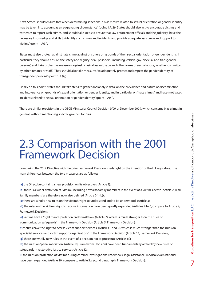Next, States 'should ensure that when determining sanctions, a bias motive related to sexual orientation or gender identity may be taken into account as an aggravating circumstance' (point 1.A(2)). States should also act to encourage victims and witnesses to report such crimes, and should take steps to ensure that law enforcement officials and the judiciary 'have the necessary knowledge and skills to identify such crimes and incidents and provide adequate assistance and support to victims' (point 1.A(3)).

States must also protect against hate crime against prisoners on grounds of their sexual orientation or gender identity. In particular, they should ensure 'the safety and dignity' of all prisoners, 'including lesbian, gay, bisexual and transgender persons', and 'take protective measures against physical assault, rape and other forms of sexual abuse, whether committed by other inmates or staff'. They should also take measures 'to adequately protect and respect the gender identity of transgender persons' (point 1.A (4)).

Finally on this point, States should take steps to gather and analyse data 'on the prevalence and nature of discrimination and intolerance on grounds of sexual orientation or gender identity, and in particular on "hate crimes" and hate-motivated incidents related to sexual orientation or gender identity' (point 1.A(5)).

There are similar provisions in the OSCE Ministerial Council Decision 9/09 of December 2009, which concerns bias crimes in general, without mentioning specific grounds for bias.

#### 2.3 Comparison with the 2001 Framework Decision

Comparing the 2012 Directive with the prior Framework Decision sheds light on the intention of the EU legislators. The main differences between the two measures are as follows:

**(a)** the Directive contains a new provision on its objectives (Article 1);

**(b)** there is a wider definition of 'victim', including now also family members in the event of a victim's death (Article 2(1)(a)); 'family members' are therefore now also defined (Article 2(1)(b));;

**(c)** there are wholly new rules on the victim's 'right to understand and to be understood' (Article 3);

**(d)** the rules on the victim's right to receive information have been greatly expanded (Articles 4 to 6; compare to Article 4, Framework Decision);

**(e)** victims have a 'right to interpretation and translation' (Article 7), which is much stronger than the rules on 'communication safeguards' in the Framework Decision (Article 5, Framework Decision);

**(f)** victims have the 'right to access victim support services' (Articles 8 and 9), which is much stronger than the rules on 'specialist services and victim support organisations' in the Framework Decision (Article 13, Framework Decision);

**(g)** there are wholly new rules in the event of a decision not to prosecute (Article 11);

**(h)** the rules on 'penal mediation' (Article 10, Framework Decision) have been fundamentally altered by new rules on safeguards in restorative justice services (Article 12);

**(i)** the rules on protection of victims during criminal investigations (interviews, legal assistance, medical examinations) have been expanded (Article 20; compare to Article 3, second paragraph, Framework Decision);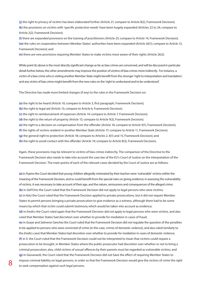**(j)** the right to privacy of victims has been elaborated further (Article 21; compare to Article 8(2), Framework Decision); **(k)** the provisions on victims with 'specific protection needs' have been hugely expanded (Articles 22 to 24; compare to Article 2(2), Framework Decision);

**(l)** there are expanded provisions on the training of practitioners (Article 25; compare to Article 14, Framework Decision); **(m)** the rules on cooperation between Member States' authorities have been expanded (Article 26(1); compare to Article 12, Framework Decision); and

**(n)** there are new provisions requiring Member States to make victims more aware of their rights (Article 26(2).

While point (k) above is the most directly significant change as far as bias crimes are concerned, and will be discussed in particular detail further below, the other amendments may improve the position of victims of bias crimes more indirectly. For instance, a victim of a bias crime who is visiting another Member State might benefit from the stronger 'right to interpretation and translation', and any victim of bias crime might benefit from the new rules on the 'right to understand and to be understood'.

The Directive has made more limited changes (if any) to the rules in the Framework Decision on:

**(a)** the right to be heard (Article 10; compare to Article 3, first paragraph, Framework Decision);

**(b)** the right to legal aid (Article 13; compare to Article 6, Framework Decision);

**(c)** the right to reimbursement of expenses (Article 14; compare to Article 7, Framework Decision);

**(d)** the right to the return of property (Article 15; compare to Article 9(3), Framework Decision);

**(e)** the right to a decision on compensation from the offender (Article 16; compare to Article 9(1), Framework Decision);

**(f)** the rights of victims resident in another Member State (Article 17; compare to Article 11, Framework Decision);

**(g)** the general right to protection (Article 18; compare to Articles 2, 8(1) and 15, Framework Decision); and

**(h)** the right to avoid contact with the offender (Article 19; compare to Article 8(3), Framework Decision).

Again, these provisions may be relevant to victims of bias crimes indirectly. The comparison of the Directive to the Framework Decision also needs to take into account the case law of the EU's Court of Justice on the interpretation of the Framework Decision. The main points of each of the relevant cases decided by the Court of Justice are as follows:

**(a)** in *Pupino* the Court decided that young children allegedly mistreated by their teacher were 'vulnerable' victims within the meaning of the Framework Decision, and so could benefit from the special rules on giving evidence; in assessing the vulnerability of victims, it was necessary to take account of their age, and the nature, seriousness and consequences of the alleged crime; **(b)** in *Dell'Orto* the Court ruled that the Framework Decision did not apply to legal persons who were victims; **(c)** in *Katz* the Court ruled that the Framework Decision applied to private prosecutions, but it did not require Member States to permit persons bringing a private prosecution to give evidence as a witness, although there had to be some means by which that victim could submit testimony which would be taken into account as evidence;

**(d)** in *Eredics* the Court ruled again that the Framework Decision did not apply to legal persons who were victims, and also ruled that Member States had discretion over whether to provide for mediation in cases of fraud;

**(e)** in *Gueye* and *Salmeron Sanchez* the Court ruled that the Framework Decision did not regulate the question of the penalties to be applied to persons who were convicted of crime (in this case, crimes of domestic violence), and also ruled (similarly to the *Eredics* case) that Member States had discretion over whether to provide for mediation in cases of domestic violence; **(f)** in *X*, the Court ruled that the Framework Decision could not be interpreted to mean that victims could require a prosecution to be brought, in Member States where the public prosecutor had discretion over whether or not to bring a criminal prosecution; also, child victims of sexual offences by their parents must be regarded as vulnerable victims; and **(g)** in Giovanardi, the Court ruled that the Framework Decision did not have the effect of requiring Member States to impose criminal liability on legal persons, in order so that the Framework Decision would give the victims of crime the right to seek compensation against such legal persons.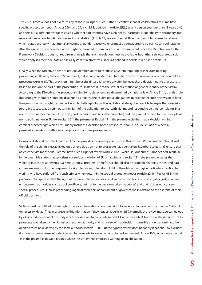The 2012 Directive does not overturn any of these rulings as such. Rather, it confirms that all child victims of crime have specific protection needs (Articles 22(4) and 24; a 'child' is defined in Article 2(1)(c) as any person younger than 18 years old), and sets out a different test for assessing whether adult victims have such needs: 'particular vulnerability to secondary and repeat victimisation, to intimidation and to retaliation' (Article 22; see also Recital 38 in the preamble, referred to above, which states expressly that (inter alia) victims of gender-based violence must be considered to be particularly vulnerable). Also, the question of when mediation might be required in criminal cases is now irrelevant, since the Directive, unlike the Framework Decision, does not require in principle that such mediation must be available, but rather sets out safeguards which apply if a Member State applies a system of restorative justice (as defined in Article 2(1)(d); see Article 12).

Finally, while the Directive does not require Member States to establish a system requiring prosecutors to bring proceedings following the victim's complaint, it does require Member States to provide for reviews of any decision not to prosecute (Article 11). This provision might be useful (inter alia) where a victim believes that a decision not to prosecute is based on bias on the part of the prosecution, for instance due to the sexual orientation or gender identity of the victim. According to the Directive, the 'procedural rules' for such reviews are determined by national law (Article 11(1)), but this rule does not give Member States any discretion as regards their substantive obligations to provide for such reviews, or to limit the grounds which might be pleaded in such challenges. In particular, it should always be possible to argue that a decision not to prosecute was discriminatory, in light of the obligation to deal with victims and respond to victims' complaints in a non-discriminatory manner (Article 1(1), and recitals 61 and 63 in the preamble) and the general respect for the principle of non-discrimination in EU law (recital 66 in the preamble). Recital 44 in the preamble clarifies that a 'decision ending criminal proceedings', which presumably includes a decision not to prosecute, 'should include situations where a prosecutor decides to withdraw charges or discontinue proceedings'.

However, it should be noted that the Directive provides for some special rules in this respect. Where (under national law) the role of the victim is established only after a decision not to prosecute has been taken, Member States 'shall ensure that at least the victims of serious crime' have such a right of review (Article 11(2)). While 'serious crime' is not defined, recital 8 in the preamble states that terrorism is a 'serious' violation of EU principles, and recital 18 in the preamble states that violence in close relationships is a 'serious' social problem. Therefore, it should also be arguable that bias crimes and hate crimes are 'serious' for the purposes of a right to review, inter alia in light of the obligation to give particular attention to victims who have suffered from such crimes when determining special protection needs (Article 22(3)). Recital 43 in the preamble also specifies that the right of review applies to 'decisions taken by prosecutors and investigative judges or law enforcement authorities such as police officers, but not to the decisions taken by courts', and that it 'does not concern special procedures, such as proceedings against members of parliament or government, in relation to the exercise of their official position'.

Victims must be notified of their right to receive information about their right to review a decision not to prosecute, 'without unnecessary delay'. They must receive this information if they request it (Article 11(3)). Normally the review must be carried out by a body independent of the body which decided not to prosecute (recital 43 in the preamble), but where the decision not to prosecute was taken by the highest prosecution authority and no review of that decision is possible under national law, the decision must be reviewed by the same authority (Article 11(4)). But the right to review does not apply if national law excludes it in cases where a prosecutor decides not to prosecute following an out-of-court settlement (Article 11(5); according to recital 45 in the preamble, this applies only where the settlement 'imposes a warning or an obligation').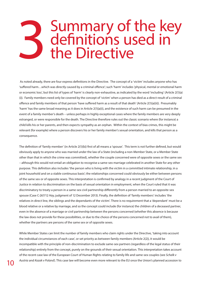## 3 Summary of the key<br>3 definitions used in<br>the Directive definitions used in the Directive

 As noted already, there are four express definitions in the Directive. The concept of a 'victim' includes anyone who has 'suffered harm…which was directly caused by a criminal offence'; such 'harm' includes 'physical, mental or emotional harm or economic loss', but this list of types of 'harm' is clearly non-exhaustive, as indicated by the word 'including' (Article 2(1)(a) (i)). Family members need only be covered by the concept of 'victim' when a person has died as a direct result of a criminal offence and family members of that person 'have suffered harm as a result of that death' (Article 2(1)(a)(ii)). Presumably 'harm' has the same broad meaning as it does in Article 2(1)(a)(i), and the existence of such harm can be presumed in the event of a family member's death – unless perhaps in highly exceptional cases where the family members are very deeply estranged, or were responsible for the death. The Directive therefore rules out the classic scenario where (for instance) a child kills his or her parents, and then expects sympathy as an orphan. Within the context of bias crimes, this might be relevant (for example) where a person discovers his or her family member's sexual orientation, and kills that person as a consequence.

The definition of 'family member' (in Article 2(1)(b)) first of all means a 'spouse'. This term is not further defined, but would obviously apply to anyone who was married under the law of a State (including a non-Member State, or a Member State other than that in which the crime was committed), whether the couple concerned were of opposite sexes or the same sex – although this would not entail an obligation to recognise a same-sex marriage celebrated in another State for any other purpose. This definition also includes 'the person who is living with the victim in a committed intimate relationship, in a joint household and on a stable continuous basis'; the relationships concerned could obviously be either between persons of the same sex or of opposite sexes. This interpretation is confirmed by analogy in a recent judgment of the Court of Justice in relation to discrimination on the basis of sexual orientation in employment, when the Court ruled that it was discriminatory to treaty a person in a same-sex civil partnership differently from a person married to an opposite-sex spouse (Case C-267/12 *Hay*, judgment of 12 December 2013). Finally, the definition of 'family members' includes 'the relatives in direct line, the siblings and the dependants of the victim'. There is no requirement that a 'dependant' must be a blood relative or a relative by marriage, and so the concept could include (for instance) the children of a deceased partner, even in the absence of a marriage or civil partnership between the persons concerned (whether this absence is because the law does not provide for these possibilities, or due to the choice of the persons concerned not to avail of them), whether the partners are persons of the same sex or of opposite sexes.

While Member States can limit the number of family members who claim rights under the Directive, 'taking into account the individual circumstances of each case', or set priority as between family members (Article 2(2)), it would be incompatible with the principle of non-discrimination to exclude same-sex partners (regardless of the legal status of their relationship) entirely from the concept, purely on the grounds of their sexual orientation. This interpretation takes account of the recent case law of the European Court of Human Rights relating to family life and same-sex couples (see *Schalk v Austria* and *Kozak v Poland*). This case law will become even more relevant to the EU once the Union's planned accession to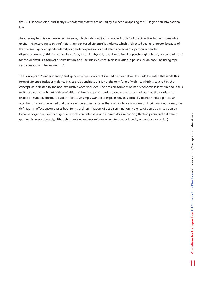the ECHR is completed, and in any event Member States are bound by it when transposing the EU legislation into national law.

Another key term is 'gender-based violence', which is defined (oddly) not in Article 2 of the Directive, but in its preamble (recital 17). According to this definition, 'gender-based violence' is violence which is 'directed against a person because of that person's gender, gender identity or gender expression or that affects persons of a particular gender disproportionately'; this form of violence 'may result in physical, sexual, emotional or psychological harm, or economic loss' for the victim; it is 'a form of discrimination' and 'includes violence in close relationships, sexual violence (including rape, sexual assault and harassment)…'.

The concepts of 'gender identity' and 'gender expression' are discussed further below. It should be noted that while this form of violence 'includes violence in close relationships', this is not the only form of violence which is covered by the concept, as indicated by the non-exhaustive word 'includes'. The possible forms of harm or economic loss referred to in this recital are not as such part of the definition of the concept of 'gender-based violence', as indicated by the words 'may result'; presumably the drafters of the Directive simply wanted to explain why this form of violence merited particular attention. It should be noted that the preamble expressly states that such violence is 'a form of discrimination'; indeed, the definition in effect encompasses both forms of discrimination: direct discrimination (violence directed against a person because of gender identity or gender expression (inter alia)) and indirect discrimination (affecting persons of a different gender disproportionately, although there is no express reference here to gender identity or gender expression).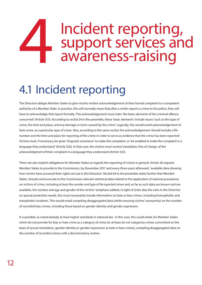## Incident reporting,<br>support services and<br>awareness-raising support services and awareness-raising

#### 4.1 Incident reporting

The Directive obliges Member States to give victims written acknowledgement of their formal complaint to a competent authority of a Member State. In practice, this will normally mean that after a victim reports a crime to the police, they will have to acknowledge that report formally. This acknowledgement must state 'the basic elements of the criminal offence concerned' (Article 5(1)). According to recital 24 in the preamble, these 'basic elements' include issues 'such as the type of crime, the time and place, and any damage or harm caused by the crime'. Logically, this would entail acknowledgement of hate crime, as a particular type of crime. Also, according to the same recital, the acknowledgement 'should include a file number and the time and place for reporting of the crime in order to serve as evidence that the crime has been reported'. Victims must, if necessary, be given 'linguistic assistance' to make this complaint, or 'be enabled to make the complaint in a language they understand' (Article 5(2)). In that case, the victims must receive translation, free of charge, of the acknowledgment of their complaint in a language they understand (Article 5(3)).

There are also implicit obligations for Member States as regards the reporting of crimes in general. Article 28 requires Member States to provide to the Commission, by November 2017 and every three years afterward, 'available data showing how victims have accessed their rights set out in this Directive'. Recital 64 in the preamble states further that Member States 'should communicate to the Commission relevant statistical data related to the application of national procedures on victims of crime, including *at least the number and type of the reported crimes* and, as far as such data are known and are available, the number and age and gender of the victims' (emphasis added). In light of (inter alia) the rules in the Directive on special protection needs, this must necessarily include information on hate or bias crimes, including homophobic and transphobic incidents. This would entail compiling disaggregated data (while ensuring victims' anonymity) on the number of recorded bias crimes, including those based on gender identity and gender expression.

It is possible, as noted already, to have higher standards in national law. In this case, this could entail, for Member States which do not provide for bias or hate crime as a category of crime (or at least do not categorise crimes committed on the basis of sexual orientation, gender identity or gender expression as hate or bias crimes), compiling disaggregated data on the number of recorded crimes with a discriminatory motive.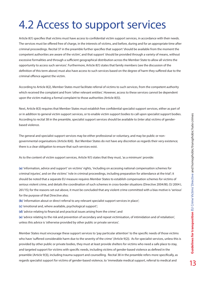### 4.2 Access to support services

Article 8(1) specifies that victims must have access to confidential victim support services, in accordance with their needs. The services must be offered free of charge, in the interests of victims, and before, during and for an appropriate time after criminal proceedings. Recital 37 in the preamble further specifies that support 'should be available from the moment the competent authorities are aware of the victim', and that support 'should be provided through a variety of means, without excessive formalities and through a sufficient geographical distribution across the Member State to allow all victims the opportunity to access such services'. Furthermore, Article 8(1) states that family members (see the discussion of the definition of this term above) must also have access to such services based on the degree of harm they suffered due to the criminal offence against the victim.

According to Article 8(2), Member States must facilitate referral of victims to such services, from the competent authority which received the complaint and from 'other relevant entities'. However, access to these services cannot be dependent upon the victim making a formal complaint to those authorities (Article 8(5)).

Next, Article 8(3) requires that Member States must establish free confidential specialist support services, either as part of or in addition to general victim support services, or to enable victim support bodies to call upon specialist support bodies. According to recital 38 in the preamble, specialist support services should be available to (inter alia) victims of genderbased violence.

The general and specialist support services may be either professional or voluntary, and may be public or nongovernmental organisations (Article 8(4)). But Member States do not have any discretion as regards their very existence; there is a clear obligation to ensure that such services exist.

As to the content of victim support services, Article 9(1) states that they must, 'as a minimum' provide:

**(a)** 'information, advice and support' on victims' rights, 'including on accessing national compensation schemes for criminal injuries', and on the victims' 'role in criminal proceedings, including preparation for attendance at the trial'; it should be noted that a separate EU measure requires Member States to establish compensation schemes for victims of serious violent crime, and details the coordination of such schemes in cross-border situations (Directive 2004/80, OJ 2004 L 261/15); for the reasons set out above, it must be concluded that any violent crime committed with a bias motive is 'serious' for the purpose of that Directive also;

- **(b)** 'information about or direct referral to any relevant specialist support services in place';
- **(c)** 'emotional and, where available, psychological support';
- **(d)** 'advice relating to financial and practical issues arising from the crime'; and

**(e)** 'advice relating to the risk and prevention of secondary and repeat victimisation, of intimidation and of retaliation', unless this advice is 'otherwise provided by other public or private services'.

Member States must encourage these support services to 'pay particular attention' to the specific needs of those victims who have 'suffered considerable harm due to the severity of the crime' (Article 9(2)). As for specialist services, unless this is provided by other public or private bodies, they must at least provide shelters for victims who need a safe place to stay, and targeted support for victims with specific needs, including victims of gender-based violence as defined in the preamble (Article 9(3)), including trauma support and counselling. Recital 38 in the preamble refers more specifically, as regards specialist support for victims of gender-based violence, to 'immediate medical support, referral to medical and

13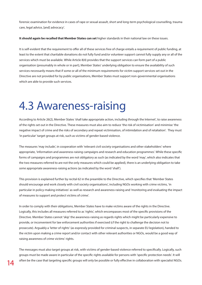forensic examination for evidence in cases of rape or sexual assault, short and long-term psychological counselling, trauma care, legal advice, [and] advocacy'.

#### **It should again be recalled that Member States can set** higher standards in their national law on these issues.

It is self-evident that the requirement to offer all of these services free of charge entails a requirement of public funding, at least to the extent that charitable donations do not fully fund and/or volunteer support cannot fully supply any or all of the services which must be available. While Article 8(4) provides that the support services can form part of a public organisation (presumably in whole or in part), Member States' underlying obligation to ensure the availability of such services necessarily means that if some or all of the minimum requirements for victim support services set out in the Directive are not provided for by public organisations, Member States must support non-governmental organisations which are able to provide such services.

#### 4.3 Awareness-raising

According to Article 26(2), Member States 'shall take appropriate action, including through the Internet', to raise awareness of the rights set out in the Directive. These measures must also aim to reduce 'the risk of victimisation' and minimise 'the negative impact of crime and the risks of secondary and repeat victimisation, of intimidation and of retaliation'. They must 'in particular' target groups at risk, such as victims of gender-based violence.

The measures 'may include', in cooperation with 'relevant civil society organisations and other stakeholders' where appropriate, 'information and awareness-raising campaigns and research and education programmes'. While these specific forms of campaigns and programmes are not obligatory as such (as indicated by the word 'may', which also indicates that the two measures referred to are not the only measures which could be applied), there is an underlying obligation to take *some* appropriate awareness-raising actions (as indicated by the word 'shall').

This provision is explained further by recital 62 in the preamble to the Directive, which specifies that 'Member States should encourage and work closely with civil society organisations', including NGOs working with crime victims, 'in particular in policy-making initiatives' as well as research and awareness-raising and 'monitoring and evaluating the impact of measures to support and protect victims of crime'.

In order to comply with their obligations, Member States have to make victims aware of the rights in the Directive. Logically, this includes all measures referred to as 'rights', which encompasses most of the specific provisions of the Directive. Member States cannot 'skip' the awareness-raising as regards rights which might be particularly expensive to provide, or inconvenient for law enforcement authorities if exercised (cf the right to challenge the decision not to prosecute). Arguably a 'letter of rights' (as expressly provided for criminal suspects, in separate EU legislation), handed to the victim upon making a crime report and/or contact with other relevant authorities or NGOs, would be a good way of raising awareness of crime victims' rights.

The messages must also target groups at risk, with victims of gender-based violence referred to specifically. Logically, such groups must be made aware in particular of the specific rights available for persons with 'specific protection needs'. It will often be the case that targeting specific groups will only be possible or fully effective in collaboration with specialist NGOs.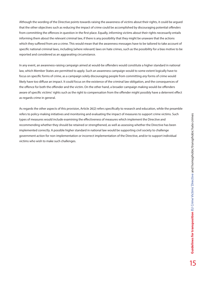Although the wording of the Directive points towards raising the awareness of *victims* about their rights, it could be argued that the other objectives such as reducing the impact of crime could be accomplished by discouraging potential *offenders*  from committing the offences in question in the first place. Equally, informing victims about their rights necessarily entails informing them about the relevant criminal law, if there is any possibility that they might be unaware that the actions which they suffered from are a crime. This would mean that the awareness messages have to be tailored to take account of specific national criminal laws, including (where relevant) laws on hate crimes, such as the possibility for a bias motive to be reported and considered as an aggravating circumstance.

In any event, an awareness-raising campaign aimed at would-be offenders would constitute a higher standard in national law, which Member States are permitted to apply. Such an awareness campaign would to some extent logically have to focus on specific forms of crime, as a campaign solely discouraging people from committing *any* forms of crime would likely have too diffuse an impact. It could focus on the existence of the criminal law obligation, and the consequences of the offence for both the offender and the victim. On the other hand, a broader campaign making would-be offenders aware of specific victims' rights such as the right to compensation from the offender might possibly have a deterrent effect as regards crime in general.

As regards the other aspects of this provision, Article 26(2) refers specifically to research and education, while the preamble refers to policy-making initiatives and monitoring and evaluating the impact of measures to support crime victims. Such types of measures would include examining the effectiveness of measures which implement the Directive and recommending whether they should be retained or strengthened, as well as assessing whether the Directive has been implemented correctly. A possible higher standard in national law would be supporting civil society to challenge government action for non-implementation or incorrect implementation of the Directive, and/or to support individual victims who wish to make such challenges.

15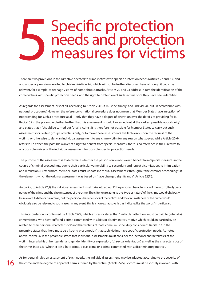## 5 Specific protection<br>
measures for victim needs and protection measures for victims

There are two provisions in the Directive devoted to crime victims with specific protection needs (Articles 22 and 23), and also a special provision devoted to children (Article 24), which will not be further discussed here, although it could be relevant, for example, to teenage victims of homophobic attacks. Articles 22 and 23 address in turn the identification of the crime victims with specific protection needs, and the right to protection of such victims once they have been identified.

As regards the assessment, first of all, according to Article 22(1), it must be 'timely' and 'individual', but 'in accordance with national procedures'. However, the reference to national procedure does not mean that Member States have an option of not providing for such a procedure at all – only that they have a degree of discretion over the details of providing for it. Recital 55 in the preamble clarifies further that this assessment 'should be carried out at the earliest possible opportunity' and states that it 'should be carried out for all victims'. It is therefore not possible for Member States to carry out such assessments for certain groups of victims only, or to make those assessments available only upon the request of the victims, or otherwise to deny an individual assessment to any crime victim for any reason whatsoever. While Article 22(6) refers to (in effect) the possible waiver of a right to benefit from special measures, there is no reference in the Directive to any possible waiver of the individual assessment for possible specific protection needs.

The purpose of the assessment is to determine whether the person concerned would benefit from 'special measures in the course of criminal proceedings, due to their particular vulnerability to secondary and repeat victimisation, to intimidation and retaliation'. Furthermore, Member States must update individual assessments 'throughout the criminal proceedings', if the elements which the original assessment was based on 'have changed significantly' (Article 22(7)).

According to Article 22(2), the individual assessment must 'take into account' the personal characteristics of the victim, the type or nature of the crime and the circumstances of the crime. The criterion relating to the 'type or nature' of the crime would obviously be relevant to hate or bias crime, but the personal characteristics of the victims and the circumstances of the crime would obviously also be relevant to such cases. In any event, this is a non-exhaustive list, as indicated by the words 'in particular'.

This interpretation is confirmed by Article 22(3), which expressly states that 'particular attention' must be paid to (inter alia) crime victims 'who have suffered a crime committed with a bias or discriminatory motive which could, in particular, be related to their personal characteristics' and that victims of 'hate crime' must be 'duly considered'. Recital 57 in the preamble states that there must be a 'strong presumption' that such victims have specific protection needs. As noted above, recital 56 in the preamble states that individual assessments must consider the 'personal characteristics of the victim', inter alia his or her 'gender and gender identity or expression, [...] sexual orientation', as well as the characteristics of the crime, inter alia 'whether it is a hate crime, a bias crime or a crime committed with a discriminatory motive'.

As for general rules on assessment of such needs, the individual assessment 'may be adapted according to the severity of the crime and the degree of apparent harm suffered by the victim' (Article 22(5)). Victims must be 'closely involved' with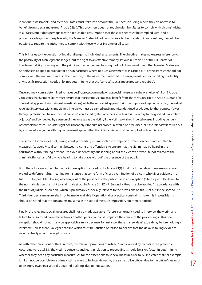17

individual assessments, and Member States must 'take into account their wishes', including where they do not wish to benefit from special measures (Article 22(6)). This provision does not require Member States to comply with victims' wishes in all cases, but it does perhaps create a rebuttable presumption that those wishes must be complied with, and a procedural obligation to explain why the Member State did not comply. As a higher standard in national law, it would be possible to require the authorities to comply with those wishes in some or all cases.

This brings us to the question of legal challenges to individual assessments. The directive makes no express reference to the possibility of such legal challenges, but the right to an effective remedy set out in Article 47 of the EU Charter of Fundamental Rights, along with the principle of effectiveness forming part of EU law, must mean that Member States are nonetheless obliged to provide for one, in particular where no such assessment was carried out, or the assessment did not comply with the minimum rules in the Directive, or the assessment reached the wrong result (either by failing to identify any specific protection needs or by not determining that the 'correct' special measures were required).

Once a crime victim is determined to have specific protection needs, what special measures can he or she benefit from? Article 23(1) states that Member States must ensure that those crime victims 'may benefit from' the measures listed in Article 23(2) and (3). The first list applies 'during criminal investigations', while the second list applies 'during court proceedings'. In particular, the first list regulates interviews with crime victims. Interviews must be 'carried out in premises designed or adapted for that purpose'; 'by or through professionals trained for that purpose'; 'conducted by the same person unless this is contrary to the good administration of justice'; and 'conducted by a person of the same sex as the victim, if the victim so wishes' in certain cases, including genderbased violence cases. The latter right does not apply if the criminal procedure would be prejudiced, or if the interview is carried out by a prosecutor or judge, although otherwise it appears that the victim's wishes must be complied with in this case.

The second list provides that, during court proceedings, crime victims with specific protection needs are entitled to measures: 'to avoid visual contact between victims and offenders'; 'to ensure that the victim may be heard in the courtroom without being present'; 'to avoid unnecessary questioning about the victim's private life not related to the criminal offence'; and 'allowing a hearing to take place without' the presence of the public.

Both these lists are subject to overriding exceptions, according to Article 23(1). First of all, the relevant measures cannot prejudice defence rights, meaning for instance that some form of cross-examination of a victim who gives evidence in a trial must be possible. Holding a hearing out of the presence of the public is also an exception (albeit a permitted one) to the normal rules on the right to a fair trial set out in Article 6(1) ECHR. Secondly, they must be applied 'in accordance with the rules of judicial discretion', which is presumably especially relevant to the provisions on trials set out in the second list. Third, the special measure 'shall not be made available if operational or practical constraints make this impossible'. It should be noted that the constraints must make the special measure impossible, not merely difficult.

Finally, the relevant special measures shall not be made available if 'there is an urgent need to interview the victim and failure to do so could harm the victim or another person or could prejudice the course of the proceedings'. This final exception should not normally be applicable simply because, for instance, there is a few days' extra delay before holding a interview, unless there is a legal deadline which must be satisfied or reason to believe that the delay in taking evidence would actually affect the legal process.

As with other provisions of the Directive, the relevant provisions of Article 23 are clarified by recitals in the preamble. According to recital 58, 'the victim's concerns and fears in relation to proceedings should be a key factor in determining whether they need any particular measure'. As for the exceptions to special measures, recital 59 indicates that, for example, it might not be possible for a crime victim always to be interviewed by the same police officer, due to the officer's leave, or to be interviewed in a specially adapted building, due to renovation.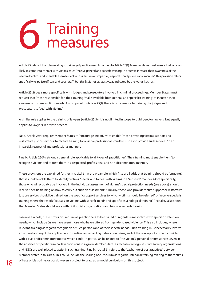## 6 Training<br>0 measure measures

Article 25 sets out the rules relating to training of practitioners. According to Article 25(1), Member States must ensure that 'officials likely to come into contact with victims' must 'receive general and specific training' in order 'to increase their awareness of the needs of victims and to enable them to deal with victims in an impartial, respectful and professional manner'. This provision refers specifically to 'police officers and court staff', but this list is not exhaustive, as indicated by the words 'such as'.

Article 25(2) deals more specifically with judges and prosecutors involved in criminal proceedings. Member States must request that 'those responsible for' their training 'make available both general and specialist training' to increase their awareness of crime victims' needs. As compared to Article 25(1), there is no reference to training the judges and prosecutors to 'deal with victims'.

A similar rule applies to the training of lawyers (Article 25(3)). It is not limited in scope to public-sector lawyers, but equally applies to lawyers in private practice.

Next, Article 25(4) requires Member States to 'encourage initiatives' to enable 'those providing victims support and restorative justice services' to receive training to 'observe professional standards', so as to provide such services 'in an impartial, respectful and professional manner'.

Finally, Article 25(5) sets out a general rule applicable to all types of 'practitioner'. Their training must enable them 'to recognise victims and to treat them in a respectful, professional and non-discriminatory manner'.

These provisions are explained further in recital 61 in the preamble, which first of all adds that training should be 'ongoing', that it should enable them to identify victims' 'needs' and to deal with victims in a 'sensitive' manner. More specifically, those who will probably be involved in the individual assessment of victims' special protection needs (see above) 'should receive specific training on how to carry out such an assessment'. Similarly, those who provide victim support or restorative justice services should be trained 'on the specific support services to which victims should be referred', or 'receive specialist training where their work focusses on victims with specific needs and specific psychological training'. Recital 62 also states that Member States should work with civil society organisations and NGOs as regards training.

Taken as a whole, these provisions require all practitioners to be trained as regards crime victims with specific protection needs, which include (as we have seen) those who have suffered from gender-based violence. This also includes, where relevant, training as regards recognition of such persons and of their specific needs. Such training must necessarily involve an understanding of the applicable substantive law regarding hate or bias crime, and of the concept of 'crime committed with a bias or discriminatory motive which could, in particular, be related to [the victim's] personal circumstances', even in the absence of specific criminal law provisions in a given Member State. As recital 62 recognises, civil society organisations and NGOs are well placed to assist in such training. Finally, recital 61 refers to the 'exchange of best practices' between Member States in this area. This could include the sharing of curriculum as regards (inter alia) training relating to the victims of hate or bias crime, or possibly even a project to draw up a model curriculum on this subject.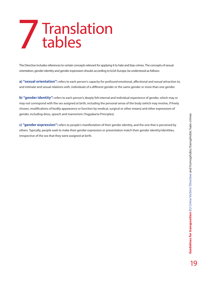# **Guidelines for transposition** EU Crime Victims' Directive and homophobic/transphobic hate crimes **19Guidelines for transposition** EU Crime Victims' Directive and homophobic/transphobic hate crimes<br>**10**

## 7 Translation tables

The Directive includes references to certain concepts relevant for applying it to hate and bias crimes. The concepts of sexual orientation, gender identity and gender expression should, according to ILGA-Europe, be understood as follows:

**a) "sexual orientation":** refers to each person's capacity for profound emotional, affectional and sexual attraction to, and intimate and sexual relations with, individuals of a different gender or the same gender or more than one gender.

**b) "gender identity":** refers to each person's deeply felt internal and individual experience of gender, which may or may not correspond with the sex assigned at birth, including the personal sense of the body (which may involve, if freely chosen, modifications of bodily appearance or function by medical, surgical or other means) and other expressions of gender, including dress, speech and mannerism (Yogyakarta Principles).

**c) "gender expression":** refers to people's manifestation of their gender identity, and the one that is perceived by others. Typically, people seek to make their gender expression or presentation match their gender identity/identities, irrespective of the sex that they were assigned at birth.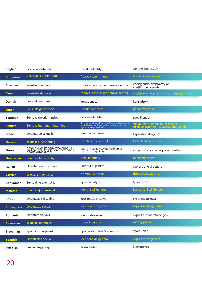| <b>English</b>    | Sexual orientation                                                                          | Gender identity                                                                                              | <b>Gender Expression</b>                                                             |
|-------------------|---------------------------------------------------------------------------------------------|--------------------------------------------------------------------------------------------------------------|--------------------------------------------------------------------------------------|
| <b>Bulgarian</b>  | Сексуална ориентация                                                                        | Полова идентичност                                                                                           | проявление на пола                                                                   |
| Croatian          | sexuálníorientace                                                                           | rodová identita, genderová identita                                                                          | vnější genderové projevy or<br>vnější projevygenderu                                 |
| <b>Czech</b>      | sexuální orientace                                                                          | rodová identita, genderová identita                                                                          | vnější genderové projevy or vnější projevy genderu                                   |
| Danish            | Seksuel orientering'                                                                        | kønsidentitet                                                                                                | kønsudtryk                                                                           |
| <b>Dutch</b>      | Seksuele gerichtheid                                                                        | Genderidentiteit                                                                                             | genderexpressie                                                                      |
| <b>Estonian</b>   | Seksuaalne orientatsioon                                                                    | Sooline identiteet                                                                                           | sooväljendus                                                                         |
| <b>Finnish</b>    | Seksuaalinen suuntautuminen                                                                 | Sukupuoli-identiteetti (often used together<br>with "sukupuolen ilmaisu" which means<br>"gender expression") | sukupuolen ilmaisu (noun) ilmaista<br>sukupuoltaan (verb; "to express one's gender") |
| French            | Orientation sexuelle                                                                        | Identité de genre                                                                                            | Expression du genre                                                                  |
| <b>German</b>     | sexuelle Orientierung                                                                       | Geschlechtsidentität                                                                                         | Geschlechtsausdruck                                                                  |
| Greek             | σεξουαλικός προσανατολισμός (EU<br>and national legislation: γενετήσιος<br>προσανατολισμός) | ταυτότητα κοινωνικούφύλου or<br>ταυτότητα φύλου                                                              | έκφραση φύλου οr έκφρασισ φύλου                                                      |
| <b>Hungarian</b>  | szexuális irányultság                                                                       | nemi identitás                                                                                               | nemi önkifejezés                                                                     |
| Italian           | Orientamento sessuale                                                                       | Identità di genere                                                                                           | espressione di genere                                                                |
| <b>Latvian</b>    | seksuālā orientācija                                                                        | dzimumidentitāte                                                                                             | dzimuma izpausme                                                                     |
| Lithuanian        | Seksualinė orientacija                                                                      | Lyties tapatybė                                                                                              | lyties raiška                                                                        |
| <b>Maltese</b>    | orjentazzjoni sesswali                                                                      | identità tal-generu                                                                                          | Espressjoni tal-Generu                                                               |
| Polish            | Orientacja seksualna                                                                        | Tożsamość płciowa                                                                                            | ekspresja pciowa                                                                     |
| <b>Portuguese</b> | Orientação sexual                                                                           | Identidade de gênero                                                                                         | Expressão de género                                                                  |
| Romanian          | Orientare sexuală                                                                           | Identitate de gen                                                                                            | expresia identitatii de gen                                                          |
| <b>Slovakian</b>  | sexuálna orientácia                                                                         | rodová identita                                                                                              | rodový prejav                                                                        |
| Slovenian         | Spolna usmerjenost                                                                          | Spolna identiteta/spolni izraz                                                                               | spolni izraz                                                                         |
| <b>Spanish</b>    | Orientación sexual                                                                          | Identidad de género                                                                                          | expresión de género                                                                  |
| Swedish           | Sexuell läggning                                                                            | Könsidentitet                                                                                                | könsuttryck                                                                          |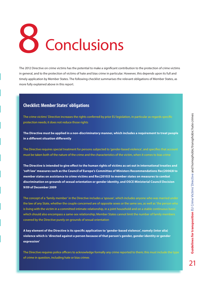# 8 Conclusions

The 2012 Directive on crime victims has the potential to make a significant contribution to the protection of crime victims in general, and to the protection of victims of hate and bias crime in particular. However, this depends upon its full and timely application by Member States. The following checklist summarises the relevant obligations of Member States, as more fully explained above in this report.

#### **Checklist: Member States' obligations**

The crime victims' Directive increases the rights conferred by prior EU legislation, in particular as regards specific protection needs; it does not reduce those rights

**The Directive must be applied in a non-discriminatory manner, which includes a requirement to treat people in a different situation differently**

The Directive requires special treatment for persons subjected to 'gender-based violence', and specifies that account must be taken both of the nature of the crime and the characteristics of the victim, when it comes to bias crime

**The Directive is intended to give effect to the human rights of victims as set out in international treaties and 'soft law' measures such as the Council of Europe's Committee of Ministers Recommendations Rec(2006)8 to member states on assistance to crime victims and Rec(2010)5 to member states on measures to combat discrimination on grounds of sexual orientation or gender identity, and OSCE Ministerial Council Decision 9/09 of December 2009**

The concept of a 'family member' in the Directive includes a 'spouse', which includes anyone who was married under the law of any State, whether the couple concerned are of opposite sexes or the same sex, as well as 'the person who is living with the victim in a committed intimate relationship, in a joint household and on a stable continuous basis', which should also encompass a same-sex relationship; Member States cannot limit the number of family members covered by the Directive purely on grounds of sexual orientation

**A key element of the Directive is its specific application to 'gender-based violence', namely (inter alia) violence which is 'directed against a person because of that person's gender, gender identity or gender expression'**

The Directive requires police officers to acknowledge formally any crime reported to them; this must include the type of crime in question, including hate or bias crimes